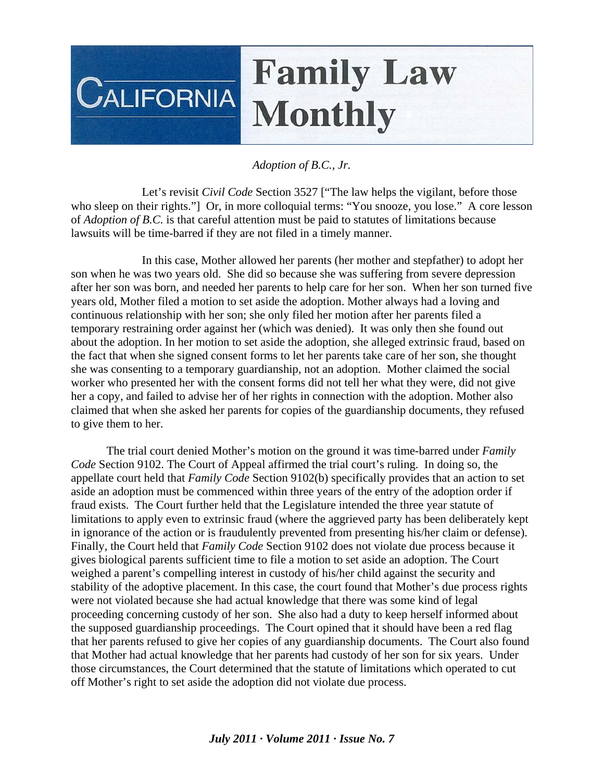## **Family Law CALIFORNIA Monthly**

## *Adoption of B.C., Jr.*

 Let's revisit *Civil Code* Section 3527 ["The law helps the vigilant, before those who sleep on their rights."] Or, in more colloquial terms: "You snooze, you lose." A core lesson of *Adoption of B.C.* is that careful attention must be paid to statutes of limitations because lawsuits will be time-barred if they are not filed in a timely manner.

 In this case, Mother allowed her parents (her mother and stepfather) to adopt her son when he was two years old. She did so because she was suffering from severe depression after her son was born, and needed her parents to help care for her son. When her son turned five years old, Mother filed a motion to set aside the adoption. Mother always had a loving and continuous relationship with her son; she only filed her motion after her parents filed a temporary restraining order against her (which was denied). It was only then she found out about the adoption. In her motion to set aside the adoption, she alleged extrinsic fraud, based on the fact that when she signed consent forms to let her parents take care of her son, she thought she was consenting to a temporary guardianship, not an adoption. Mother claimed the social worker who presented her with the consent forms did not tell her what they were, did not give her a copy, and failed to advise her of her rights in connection with the adoption. Mother also claimed that when she asked her parents for copies of the guardianship documents, they refused to give them to her.

 The trial court denied Mother's motion on the ground it was time-barred under *Family Code* Section 9102. The Court of Appeal affirmed the trial court's ruling. In doing so, the appellate court held that *Family Code* Section 9102(b) specifically provides that an action to set aside an adoption must be commenced within three years of the entry of the adoption order if fraud exists. The Court further held that the Legislature intended the three year statute of limitations to apply even to extrinsic fraud (where the aggrieved party has been deliberately kept in ignorance of the action or is fraudulently prevented from presenting his/her claim or defense). Finally, the Court held that *Family Code* Section 9102 does not violate due process because it gives biological parents sufficient time to file a motion to set aside an adoption. The Court weighed a parent's compelling interest in custody of his/her child against the security and stability of the adoptive placement. In this case, the court found that Mother's due process rights were not violated because she had actual knowledge that there was some kind of legal proceeding concerning custody of her son. She also had a duty to keep herself informed about the supposed guardianship proceedings. The Court opined that it should have been a red flag that her parents refused to give her copies of any guardianship documents. The Court also found that Mother had actual knowledge that her parents had custody of her son for six years. Under those circumstances, the Court determined that the statute of limitations which operated to cut off Mother's right to set aside the adoption did not violate due process.